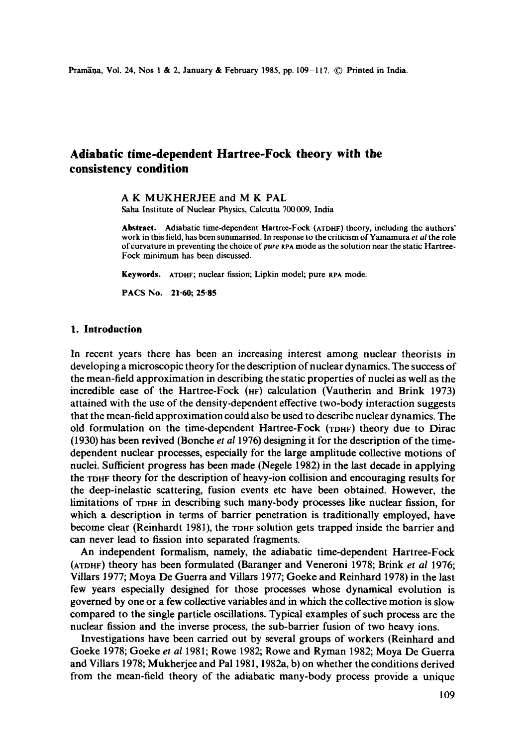# **Adiabatic time-dependent Hartree-Fock theory with the consistency condition**

A K MUKHERJEE and M K PAL

Saha Institute of Nuclear Physics, Calcutta 700009, India

**Abstract.** Adiabatic time-dependent Hartree-Fock (ATDnF) theory, including the authors' work in this field, has been summarised. In response to the criticism of Yamamura *et al* the role of curvature in preventing the choice *of pure* RPA mode as the solution near the static Hartree-Fock minimum has been discussed.

**Keywords.** ATDHF; nuclear fission; Lipkin model; pure RPA mode.

**PACS No. 21-60; 25"85** 

# **1. Introduction**

In recent years there has been an increasing interest among nuclear theorists in developing a microscopic theory for the description of nuclear dynamics. The success of the mean-field approximation in describing the static properties of nuclei as well as the incredible ease of the Hartree-Fock  $(HF)$  calculation (Vautherin and Brink 1973) attained with the use of the density-dependent effective two-body interaction suggests that the mean-field approximation could also be used to describe nuclear dynamics. The old formulation on the time-dependent Hartree-Fock (TDHF) theory due to Dirac (1930) has been revived (Bonche *et al* 1976) designing it for the description of the timedependent nuclear processes, especially for the large amplitude collective motions of nuclei. Sufficient progress has been made (Negele 1982) in the last decade in applying the TDHF theory for the description of heavy-ion collision and encouraging results for the deep-inelastic scattering, fusion events etc have been obtained. However, the limitations of TDHr in describing such many-body processes like nuclear fission, for which a description in terms of barrier penetration is traditionally employed, have become clear (Reinhardt 1981), the TDHF solution gets trapped inside the barrier and can never lead to fission into separated fragments.

An independent formalism, namely, the adiabatic time-dependent Hartree-Fock (ATOrlr) theory has been formulated (Baranger and Veneroni 1978; Brink *et al* 1976; Villars 1977; Moya De Guerra and Villars 1977; Goeke and Reinhard 1978) in the last few years especially designed for those processes whose dynamical evolution is governed by one or a few collective variables and in which the collective motion is slow compared to the single particle oscillations. Typical examples of such process are the nuclear fission and the inverse process, the sub-barrier fusion of two heavy ions.

Investigations have been carried out by several groups of workers (Reinhard and Goeke 1978; Goeke *et al* 1981; Rowe 1982; Rowe and Ryman 1982; Moya De Guerra and Villars 1978; Mukherjee and Pal 1981, 1982a, b) on whether the conditions derived from the mean-field theory of the adiabatic many-body process provide a unique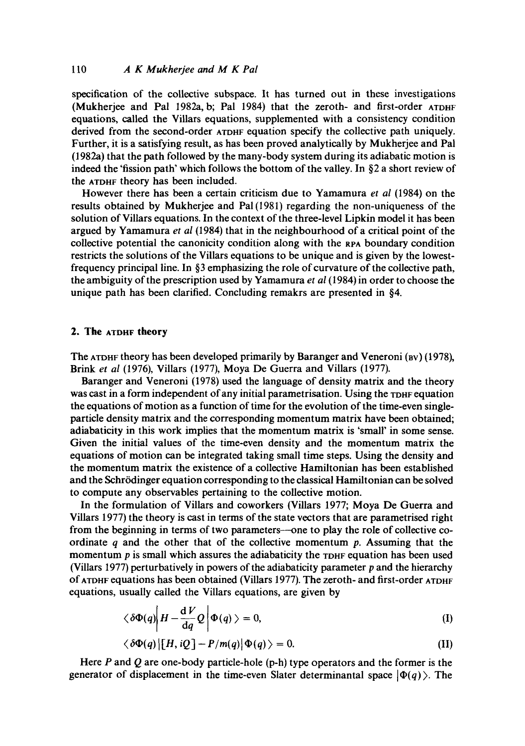specification of the collective subspace. It has turned out in these investigations (Mukherjee and Pal 1982a, b; Pal 1984) that the zeroth- and first-order ATDHF equations, called the Villars equations, supplemented with a consistency condition derived from the second-order ATDnF equation specify the collective path uniquely. Further, it is a satisfying result, as has been proved analytically by Mukherjee and Pal (1982a) that the path followed by the many-body system during its adiabatic motion is indeed the 'fission path' which follows the bottom of the valley. In  $\S$ 2 a short review of the ATDHF theory has been included.

However there has been a certain criticism due to Yamamura *et al* (1984) on the results obtained by Mukherjee and Pa1(1981) regarding the non-uniqueness of the solution of Villars equations. In the context of the three-level Lipkin model it has been argued by Yamamura *et al* (1984) that in the neighbourhood of a critical point of the collective potential the canonicity condition along with the RPA boundary condition restricts the solutions of the Villars equations to be unique and is given by the lowestfrequency principal line. In §3 emphasizing the role of curvature of the collective path, the ambiguity of the prescription used by Yamamura *et al* (1984) in order to choose the unique path has been clarified. Concluding remakrs are presented in §4.

### **2. The ATDHF theory**

The ATDHF theory has been developed primarily by Baranger and Veneroni (BV) (1978), Brink *et al* (1976), Villars (1977), Moya De Guerra and Villars (1977).

Baranger and Veneroni (1978) used the language of density matrix and the theory was cast in a form independent of any initial parametrisation. Using the TDHF equation the equations of motion as a function of time for the evolution of the time-even singleparticle density matrix and the corresponding momentum matrix have been obtained; adiabaticity in this work implies that the momentum matrix is 'small' in some sense. Given the initial values of the time-even density and the momentum matrix the equations of motion can be integrated taking small time steps. Using the density and the momentum matrix the existence of a collective Hamiltonian has been established and the Schrödinger equation corresponding to the classical Hamiltonian can be solved to compute any observables pertaining to the collective motion.

In the formulation of Villars and coworkers (Villars 1977; Moya De Guerra and Villars 1977) the theory is cast in terms of the state vectors that are parametrised right from the beginning in terms of two parameters--one to play the role of collective coordinate  $q$  and the other that of the collective momentum  $p$ . Assuming that the momentum p is small which assures the adiabaticity the *TDHF* equation has been used (Villars 1977) perturbatively in powers of the adiabaticity parameter  $p$  and the hierarchy of ATDHF equations has been obtained (Villars 1977). The zeroth- and first-order ATDHF equations, usually called the Villars equations, are given by

$$
\langle \delta \Phi(q) \bigg| H - \frac{\mathrm{d} V}{\mathrm{d} q} Q \bigg| \Phi(q) \rangle = 0, \tag{I}
$$

$$
\langle \delta \Phi(q) | [H, iQ] - P/m(q) | \Phi(q) \rangle = 0. \tag{II}
$$

Here  $P$  and  $Q$  are one-body particle-hole (p-h) type operators and the former is the generator of displacement in the time-even Slater determinantal space  $|\Phi(q)\rangle$ . The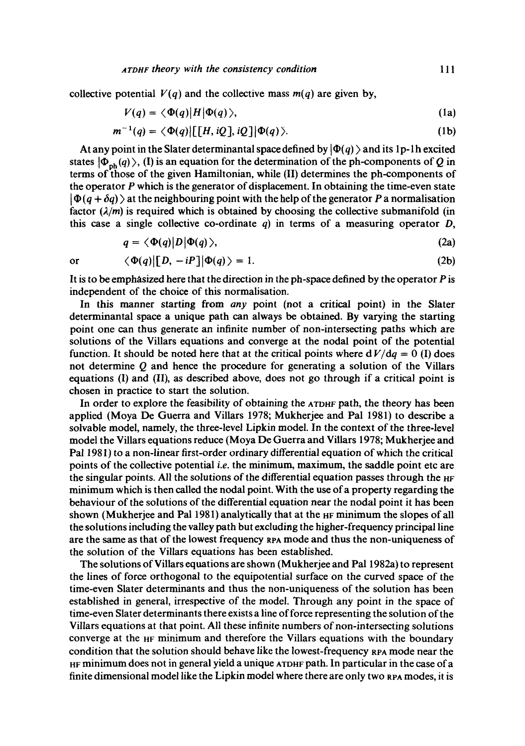collective potential  $V(q)$  and the collective mass  $m(q)$  are given by,

$$
V(q) = \langle \Phi(q) | H | \Phi(q) \rangle, \tag{1a}
$$

$$
m^{-1}(q) = \langle \Phi(q) | [[H, iQ], iQ] | \Phi(q) \rangle. \tag{1b}
$$

At any point in the Slater determinantal space defined by  $|\Phi(q)\rangle$  and its 1p-1h excited states  $|\Phi_{ph}(q)\rangle$ , (I) is an equation for the determination of the ph-components of Q in terms of those of the given Hamiltonian, while (II) determines the ph-components of the operator  $P$  which is the generator of displacement. In obtaining the time-even state  $|\Phi(q + \delta q)\rangle$  at the neighbouring point with the help of the generator P a normalisation factor  $(\lambda/m)$  is required which is obtained by choosing the collective submanifold (in this case a single collective co-ordinate  $q$ ) in terms of a measuring operator  $D$ ,

$$
q = \langle \Phi(q) | D | \Phi(q) \rangle, \tag{2a}
$$

$$
\alpha
$$

 $\langle \Phi(q)|[D, -iP]|\Phi(q)\rangle = 1.$  (2b)

It is to be emphasized here that the direction in the ph-space defined by the operator  $P$  is independent of the choice of this normalisation.

In this manner starting from *any* point (not a critical point) in the Slater determinantal space a unique path can always be obtained. By varying the starting point one can thus generate an infinite number of non-intersecting paths which are solutions of the Villars equations and converge at the nodal point of the potential function. It should be noted here that at the critical points where  $dV/dq = 0$  (I) does not determine Q and hence the procedure for generating a solution of the Villars equations (I) and (II), as described above, does not go through if a critical point is chosen in practice to start the solution.

In order to explore the feasibility of obtaining the ATDHF path, the theory has been applied (Moya De Guerra and Villars 1978; Mukherjee and Pal 1981) to describe a solvable model, namely, the three-level Lipkin model. In the context of the three-level model the Villars equations reduce (Moya De Guerra and Villars 1978; Mukherjee and Pal 1981) to a non-linear first-order ordinary differential equation of which the critical points of the collective potential *i.e.* the minimum, maximum, the saddle point etc are the singular points. All the solutions of the differential equation passes through the  $HF$ minimum which is then called the nodal point. With the use of a property regarding the behaviour of the solutions of the differential equation near the nodal point it has been shown (Mukherjee and Pal 1981) analytically that at the HF minimum the slopes of all the solutions including the valley path but excluding the higher-frequency principal line are the same as that of the lowest frequency RPA mode and thus the non-uniqueness of the solution of the Villars equations has been established.

The solutions of Villars equations are shown (Mukherjee and Pal 1982a) to represent the lines of force orthogonal to the equipotential surface on the curved space of the time-even Slater determinants and thus the non-uniqueness of the solution has been established in general, irrespective of the model. Through any point in the space of time-even Slater determinants there exists a line of force representing the solution of the Villars equations at that point. All these infinite numbers of non-intersecting solutions converge at the HE minimum and therefore the Villars equations with the boundary condition that the solution should behave like the lowest-frequency RPA mode near the HE minimum does not in general yield a unique ATDHF path. In particular in the case of a finite dimensional model like the Lipkin model where there are only two RPA modes, it is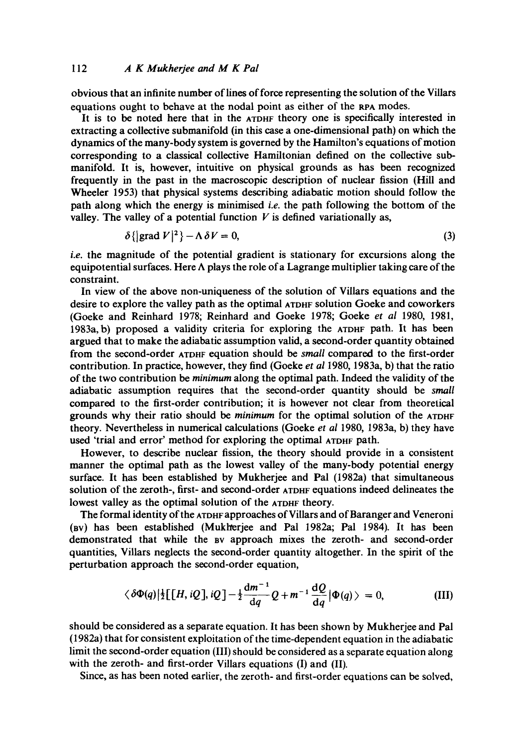obvious that an infinite number of lines of force representing the solution of the Villars equations ought to behave at the nodal point as either of the RPA modes.

It is to be noted here that in the ATDHF theory one is specifically interested in extracting a collective submanifold (in this case a one-dimensional path) on which the dynamics of the many-body system is governed by the Hamilton's equations of motion corresponding to a classical collective Hamiltonian defined on the collective submanifold. It is, however, intuitive on physical grounds as has been recognized frequently in the past in the macroscopic description of nuclear fission (Hill and Wheeler 1953) that physical systems describing adiabatic motion should follow the path along which the energy is minimised *i.e.* the path following the bottom of the valley. The valley of a potential function  $V$  is defined variationally as,

$$
\delta\{\left|\text{grad }V\right|^2\} - \Lambda \,\delta V = 0,\tag{3}
$$

*i.e.* the magnitude of the potential gradient is stationary for excursions along the equipotential surfaces. Here  $\Lambda$  plays the role of a Lagrange multiplier taking care of the constraint.

In view of the above non-uniqueness of the solution of Villars equations and the desire to explore the valley path as the optimal ATDHF solution Goeke and coworkers (Goeke and Reinhard 1978; Reinhard and Goeke 1978; Goeke *et al* 1980, 1981, 1983a, b) proposed a validity criteria for exploring the ATDHF path. It has been argued that to make the adiabatic assumption valid, a second-order quantity obtained from the second-order ATDHF equation should be *small* compared to the first-order contribution. In practice, however, they find (Goeke *et al* 1980, 1983a, b) that the ratio of the two contribution be *minimum* along the optimal path. Indeed the validity of the adiabatic assumption requires that the second-order quantity should be *small*  compared to the first-order contribution; it is however not clear from theoretical grounds why their ratio should be *minimum* for the optimal solution of the ATDHF theory. Nevertheless in numerical calculations (Goeke *et al* 1980, 1983a, b) they have used 'trial and error' method for exploring the optimal ATDHF path.

However, to describe nuclear fission, the theory should provide in a consistent manner the optimal path as the lowest valley of the many-body potential energy surface. It has been established by Mukherjee and Pal (1982a) that simultaneous solution of the zeroth-, first- and second-order ArDHF equations indeed delineates the lowest valley as the optimal solution of the ATDHF theory.

The formal identity of the ATDHF approaches of Villars and of Baranger and Veneroni (av) has been established (Mukl/erjee and Pal 1982a; Pal 1984). It has been demonstrated that while the av approach mixes the zeroth- and second-order quantities, ViUars neglects the second-order quantity altogether. In the spirit of the perturbation approach the second-order equation,

$$
\langle \delta \Phi(q) | \frac{1}{2} [[H, iQ], iQ] - \frac{1}{2} \frac{dm^{-1}}{dq} Q + m^{-1} \frac{dQ}{dq} | \Phi(q) \rangle = 0,
$$
 (III)

should be considered as a separate equation. It has been shown by Mukherjee and Pal (1982a) that for consistent exploitation of the time-dependent equation in the adiabatic limit the second-order equation (III) should be considered as a separate equation along with the zeroth- and first-order Villars equations (I) and (II).

Since, as has been noted earlier, the zeroth- and first-order equations can be solved,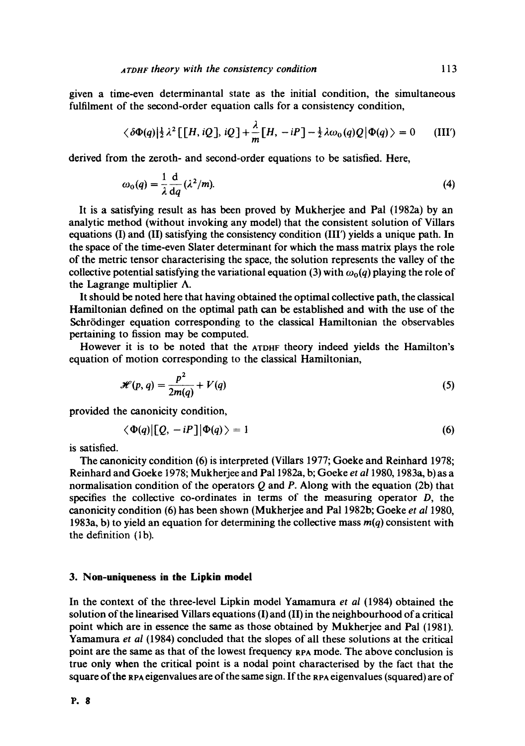given **a**  time-even determinantal state as the initial condition, the simultaneous fulfilment of the second-order equation calls for a consistency condition,

$$
\langle \delta \Phi(q) | \frac{1}{2} \lambda^2 \left[ \left[ H, i \mathcal{Q} \right], i \mathcal{Q} \right] + \frac{\lambda}{m} \left[ H, -iP \right] - \frac{1}{2} \lambda \omega_0(q) \mathcal{Q} \left| \Phi(q) \right\rangle = 0 \quad \text{(III')}
$$

derived from the zeroth- and second-order equations to be satisfied. Here,

$$
\omega_0(q) = \frac{1}{\lambda} \frac{d}{dq} (\lambda^2/m). \tag{4}
$$

It is a satisfying result as has been proved by Mukherjee and Pal (1982a) by an analytic method (without invoking any model) that the consistent solution of Villars equations (I) and (II) satisfying the consistency condition (III') yields a unique path. In the space of the time-even Slater determinant for which the mass matrix plays the role of the metric tensor characterising the space, the solution represents the valley of the collective potential satisfying the variational equation (3) with  $\omega_0(q)$  playing the role of the Lagrange multiplier  $\Lambda$ .

It should be noted here that having obtained the optimal collective path, the classical Hamiltonian defined on the optimal path can be established and with the use of the Schrödinger equation corresponding to the classical Hamiltonian the observables pertaining to fission may be computed.

However it is to be noted that the *AXDHF* theory indeed yields the Hamilton's equation of motion corresponding to the classical Hamiltonian,

$$
\mathcal{H}(p,q) = \frac{p^2}{2m(q)} + V(q) \tag{5}
$$

provided the canonicity condition,

$$
\langle \Phi(q) | [Q, -iP] | \Phi(q) \rangle = 1 \tag{6}
$$

is satisfied.

The canonicity condition (6) is interpreted (Villars 1977; Goeke and Reinhard 1978; Reinhard and Goeke 1978; Mukherjee and Pal 1982a, b; Goeke *et a11980,* 1983a, b) as a normalisation condition of the operators  $Q$  and  $P$ . Along with the equation (2b) that specifies the collective co-ordinates in terms of the measuring operator D, the canonicity condition (6) has been shown (Mukherjee and Pal 1982b; Goeke *et al* 1980, 1983a, b) to yield an equation for determining the collective mass *m(q)* consistent with the definition (lb).

### **3. Non-uniqueness in the Lipkin model**

In the context of the three-level Lipkin model Yamamura *et al* (1984) obtained the solution of the linearised Villars equations (I) and (II) in the neighbourhood of a critical point which are in essence the same as those obtained by Mukherjee and Pal (1981). Yamamura *et al* (1984) concluded that the slopes of all these solutions at the critical point are the same as that of the lowest frequency RPA mode. The above conclusion is true only when the critical point is a nodal point characterised by the fact that the square of the RPA eigenvalues are of the same sign. If the RPA eigenvalues (squared) are of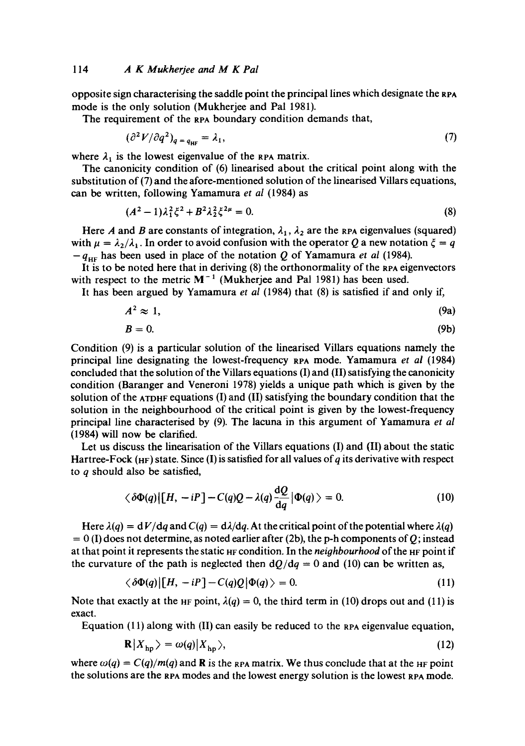opposite sign characterising the saddle point the principal lines which designate the RPA mode is the only solution (Mukherjee and Pal 1981).

The requirement of the RPA boundary condition demands that,

$$
(\partial^2 V/\partial q^2)_{q = q_{\text{HF}}} = \lambda_1,\tag{7}
$$

where  $\lambda_1$  is the lowest eigenvalue of the RPA matrix.

The canonicity condition of (6) linearised about the critical point along with the substitution of (7) and the afore-mentioned solution of the linearised Villars equations, can be written, following Yamamura *et al* (1984) as

$$
(A2 - 1)\lambda_1^2 \xi^2 + B^2 \lambda_2^2 \xi^{2\mu} = 0.
$$
 (8)

Here A and B are constants of integration,  $\lambda_1$ ,  $\lambda_2$  are the RPA eigenvalues (squared) with  $\mu = \lambda_2/\lambda_1$ . In order to avoid confusion with the operator Q a new notation  $\xi = q$  $-q_{\text{HF}}$  has been used in place of the notation Q of Yamamura *et al* (1984).

It is to be noted here that in deriving (8) the orthonormality of the RPA eigenvectors with respect to the metric  $M^{-1}$  (Mukherjee and Pal 1981) has been used.

It has been argued by Yamamura *et al* (1984) that (8) is satisfied if and only if,

$$
A^2 \approx 1,\tag{9a}
$$

$$
B=0.\t\t(9b)
$$

Condition (9) is a particular solution of the linearised Villars equations namely the principal line designating the lowest-frequency sPA mode. Yamamura *et al* (1984) concluded that the solution of the Villars equations (I) and (II) satisfying the canonicity condition (Baranger and Veneroni 1978) yields a unique path which is given by the solution of the  $ATDHF$  equations (I) and (II) satisfying the boundary condition that the solution in the neighbourhood of the critical point is given by the lowest-frequency principal line characterised by (9). The lacuna in this argument of Yamamura *et al*  (1984) will now be clarified.

Let us discuss the linearisation of the Villars equations (I) and (II) about the static Hartree-Fock (HF) state. Since (I) is satisfied for all values of q its derivative with respect to  $q$  should also be satisfied,

$$
\langle \delta \Phi(q) | [H, -iP] - C(q)Q - \lambda(q) \frac{\mathrm{d}Q}{\mathrm{d}q} | \Phi(q) \rangle = 0. \tag{10}
$$

Here  $\lambda(q) = dV/dq$  and  $C(q) = d\lambda/dq$ . At the critical point of the potential where  $\lambda(q)$  $= 0$  (I) does not determine, as noted earlier after (2b), the p-h components of Q; instead at that point it represents the static H<sub>F</sub> condition. In the *neighbourhood* of the H<sub>F</sub> point if the curvature of the path is neglected then  $dQ/dq = 0$  and (10) can be written as,

$$
\langle \delta \Phi(q) | [H, -iP] - C(q) Q | \Phi(q) \rangle = 0. \tag{11}
$$

Note that exactly at the H<sub>F</sub> point,  $\lambda(q) = 0$ , the third term in (10) drops out and (11) is exact.

Equation  $(11)$  along with  $(II)$  can easily be reduced to the RPA eigenvalue equation,

$$
\mathbf{R}|X_{\mathrm{hp}}\rangle = \omega(q)|X_{\mathrm{hp}}\rangle,\tag{12}
$$

where  $\omega(q) = C(q)/m(q)$  and **R** is the RPA matrix. We thus conclude that at the HF point the solutions are the RPA modes and the lowest energy solution is the lowest RPA mode.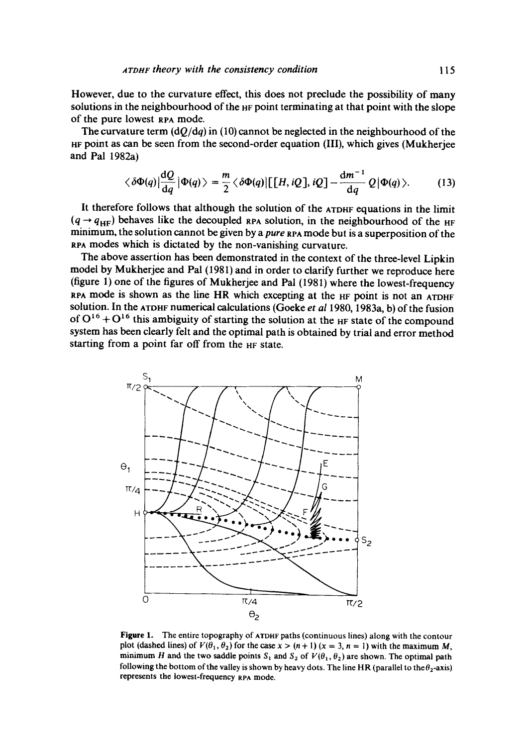However, due to the curvature effect, this does not preclude the possibility of many solutions in the neighbourhood of the HF point terminating at that point with the slope of the pure lowest RPA mode.

The curvature term  $(dO/dq)$  in (10) cannot be neglected in the neighbourhood of the HF point as can be seen from the second-order equation (III), which gives (Mukherjee and Pal 1982a)

$$
\langle \delta \Phi(q) | \frac{\mathrm{d}Q}{\mathrm{d}q} | \Phi(q) \rangle = \frac{m}{2} \langle \delta \Phi(q) | [[H, iQ], iQ] - \frac{\mathrm{d}m^{-1}}{\mathrm{d}q} Q | \Phi(q) \rangle. \tag{13}
$$

It therefore follows that although the solution of the ATDHF equations in the limit  $(q \rightarrow q_{HF})$  behaves like the decoupled apa solution, in the neighbourhood of the HF minimum, the solution cannot be given by a *pure* RPA mode but is a superposition of the spa modes which is dictated by the non-vanishing curvature.

The above assertion has been demonstrated in the context of the three-level Lipkin model by Mukherjee and Pal (1981) and in order to clarify further we reproduce here (figure 1) one of the figures of Mukherjee and Pal (1981) where the lowest-frequency  $RPA$  mode is shown as the line HR which excepting at the  $HF$  point is not an ATDHF solution. In the ATDHF numerical calculations (Goeke *et al* 1980, 1983a, b) of the fusion of  $O^{16} + O^{16}$  this ambiguity of starting the solution at the HF state of the compound system has been clearly felt and the optimal path is obtained by trial and error method starting from a point far off from the HF state.



**Figure** 1. The entire topography of ATDHF paths (continuous lines) along with the contour plot (dashed lines) of  $V(\theta_1, \theta_2)$  for the case  $x > (n + 1)$  ( $x = 3$ ,  $n = 1$ ) with the maximum M, minimum H and the two saddle points  $S_1$  and  $S_2$  of  $V(\theta_1, \theta_2)$  are shown. The optimal path following the bottom of the valley is shown by heavy dots. The line HR (parallel to the  $\theta_2$ -axis) represents the lowest-frequency RPA mode.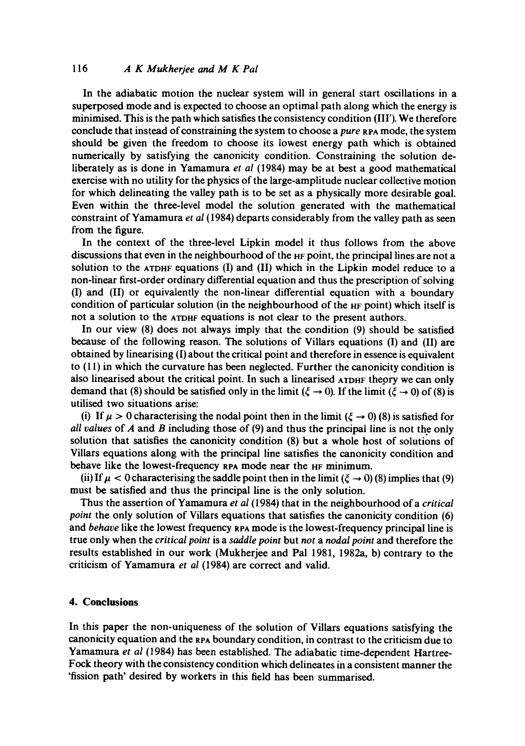# *116 A K Mukherjee and M K Pal*

In the adiabatic motion the nuclear system will in general start oscillations in a superposed mode and is expected to choose an optimal path along which the energy is minimised. This is the path which satisfies the consistency condition (III'). We therefore conclude that instead of constraining the system to choose a *pure* RPA mode, the system should be given the freedom to choose its lowest energy path which is obtained numerically by satisfying the canonicity condition. Constraining the solution deliberately as is done in Yamamura *et al* (1984) may be at best a good mathematical exercise with no utility for the physics of the large-amplitude nuclear collective motion for which delineating the valley path is to be set as a physically more desirable goal. Even within the three-level model the solution generated with the mathematical constraint of Yamamura *et al* (1984) departs considerably from the valley path as seen from the figure.

In the context of the three-level Lipkin model it thus follows from the above discussions that even in the neighbourhood of the HF point, the principal lines are not a solution to the ATDHF equations (I) and (II) which in the Lipkin model reduce to a non-linear first-order ordinary differential equation and thus the prescription of solving (I) and (II) or equivalently the non-linear differential equation with a boundary condition of particular solution (in the neighbourhood of the HF point) which itself is not a solution to the ATDHF equations is not clear to the present authors.

In our view (8) does not always imply that the condition (9) should be satisfied because of the following reason. The solutions of Villars equations (I) and (II) are obtained by linearising (I) about the critical point and therefore in essence is equivalent to (11) in which the curvature has been neglected. Further the canonicity condition is also linearised about the critical point. In such a linearised ATDHF theory we can only demand that (8) should be satisfied only in the limit ( $\xi \rightarrow 0$ ). If the limit ( $\xi \rightarrow 0$ ) of (8) is utilised two situations arise:

(i) If  $\mu > 0$  characterising the nodal point then in the limit ( $\xi \rightarrow 0$ ) (8) is satisfied for *all values* of A and B including those of (9) and thus the principal line is not the only solution that satisfies the canonicity condition (8) but a whole host of solutions of Villars equations along with the principal line satisfies the canonicity condition and behave like the lowest-frequency RPA mode near the HF minimum.

(ii) If  $\mu$  < 0 characterising the saddle point then in the limit ( $\xi \rightarrow 0$ ) (8) implies that (9) must be satisfied and thus the principal line is the only solution.

Thus the assertion of Yamamura *et al* (1984) that in the neighbourhood of a *critical point* the only solution of Villars equations that satisfies the canonicity condition (6) and *behave* like the lowest frequency RPA mode is the lowest-frequency principal line is true only when the *critical point* is a *saddle point* but *not a nodal point* and therefore the results established in our work (Mukherjee and Pal 1981, 1982a, b) contrary to the criticism of Yamamura *et al* (1984) are correct and valid.

## **4. Conclusions**

In this paper the non-uniqueness of the solution of ViUars equations satisfying the canonicity equation and the sPA boundary condition, in contrast to the criticism due to Yamamura *et al* (1984) has been established. The adiabatic time-dependent Hartree-Fock theory with the consistency condition which delineates in a consistent manner the 'fission path' desired by workers in this field has been summarised.